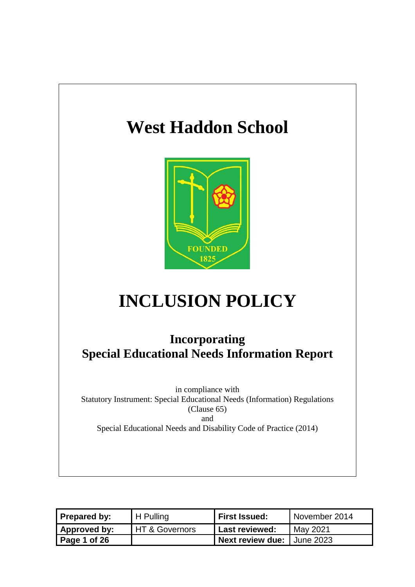## **West Haddon School**



# **INCLUSION POLICY**

## **Incorporating Special Educational Needs Information Report**

in compliance with Statutory Instrument: Special Educational Needs (Information) Regulations (Clause 65) and Special Educational Needs and Disability Code of Practice (2014)

| <b>Prepared by:</b> | H Pulling        | <b>First Issued:</b>                | November 2014 |
|---------------------|------------------|-------------------------------------|---------------|
| Approved by:        | I HT & Governors | <b>Last reviewed:</b>               | May 2021      |
| Page 1 of 26        |                  | <b>Next review due:   June 2023</b> |               |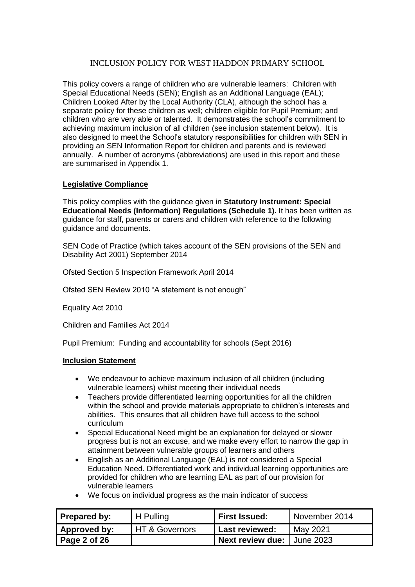#### INCLUSION POLICY FOR WEST HADDON PRIMARY SCHOOL

This policy covers a range of children who are vulnerable learners: Children with Special Educational Needs (SEN); English as an Additional Language (EAL); Children Looked After by the Local Authority (CLA), although the school has a separate policy for these children as well; children eligible for Pupil Premium; and children who are very able or talented. It demonstrates the school's commitment to achieving maximum inclusion of all children (see inclusion statement below). It is also designed to meet the School's statutory responsibilities for children with SEN in providing an SEN Information Report for children and parents and is reviewed annually. A number of acronyms (abbreviations) are used in this report and these are summarised in Appendix 1.

#### **Legislative Compliance**

This policy complies with the guidance given in **Statutory Instrument: Special Educational Needs (Information) Regulations (Schedule 1).** It has been written as guidance for staff, parents or carers and children with reference to the following guidance and documents.

SEN Code of Practice (which takes account of the SEN provisions of the SEN and Disability Act 2001) September 2014

Ofsted Section 5 Inspection Framework April 2014

Ofsted SEN Review 2010 "A statement is not enough"

Equality Act 2010

Children and Families Act 2014

Pupil Premium: Funding and accountability for schools (Sept 2016)

#### **Inclusion Statement**

- We endeavour to achieve maximum inclusion of all children (including vulnerable learners) whilst meeting their individual needs
- Teachers provide differentiated learning opportunities for all the children within the school and provide materials appropriate to children's interests and abilities. This ensures that all children have full access to the school curriculum
- Special Educational Need might be an explanation for delayed or slower progress but is not an excuse, and we make every effort to narrow the gap in attainment between vulnerable groups of learners and others
- English as an Additional Language (EAL) is not considered a Special Education Need. Differentiated work and individual learning opportunities are provided for children who are learning EAL as part of our provision for vulnerable learners
- We focus on individual progress as the main indicator of success

| Prepared by: | H Pulling      | <b>First Issued:</b>       | November 2014 |
|--------------|----------------|----------------------------|---------------|
| Approved by: | HT & Governors | <b>Last reviewed:</b>      | May 2021      |
| Page 2 of 26 |                | Next review due: June 2023 |               |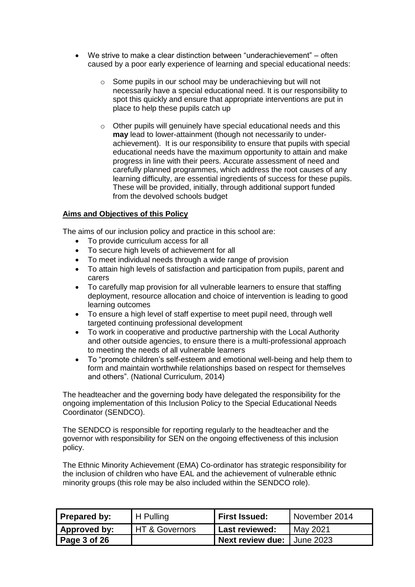- We strive to make a clear distinction between "underachievement" often caused by a poor early experience of learning and special educational needs:
	- o Some pupils in our school may be underachieving but will not necessarily have a special educational need. It is our responsibility to spot this quickly and ensure that appropriate interventions are put in place to help these pupils catch up
	- o Other pupils will genuinely have special educational needs and this **may** lead to lower-attainment (though not necessarily to underachievement). It is our responsibility to ensure that pupils with special educational needs have the maximum opportunity to attain and make progress in line with their peers. Accurate assessment of need and carefully planned programmes, which address the root causes of any learning difficulty, are essential ingredients of success for these pupils. These will be provided, initially, through additional support funded from the devolved schools budget

#### **Aims and Objectives of this Policy**

The aims of our inclusion policy and practice in this school are:

- To provide curriculum access for all
- To secure high levels of achievement for all
- To meet individual needs through a wide range of provision
- To attain high levels of satisfaction and participation from pupils, parent and carers
- To carefully map provision for all vulnerable learners to ensure that staffing deployment, resource allocation and choice of intervention is leading to good learning outcomes
- To ensure a high level of staff expertise to meet pupil need, through well targeted continuing professional development
- To work in cooperative and productive partnership with the Local Authority and other outside agencies, to ensure there is a multi-professional approach to meeting the needs of all vulnerable learners
- To "promote children's self-esteem and emotional well-being and help them to form and maintain worthwhile relationships based on respect for themselves and others". (National Curriculum, 2014)

The headteacher and the governing body have delegated the responsibility for the ongoing implementation of this Inclusion Policy to the Special Educational Needs Coordinator (SENDCO).

The SENDCO is responsible for reporting regularly to the headteacher and the governor with responsibility for SEN on the ongoing effectiveness of this inclusion policy.

The Ethnic Minority Achievement (EMA) Co-ordinator has strategic responsibility for the inclusion of children who have EAL and the achievement of vulnerable ethnic minority groups (this role may be also included within the SENDCO role).

| Prepared by: | H Pulling                   | <b>First Issued:</b>                | November 2014 |
|--------------|-----------------------------|-------------------------------------|---------------|
| Approved by: | <b>I HT &amp; Governors</b> | <b>Last reviewed:</b>               | May 2021      |
| Page 3 of 26 |                             | <b>Next review due: I June 2023</b> |               |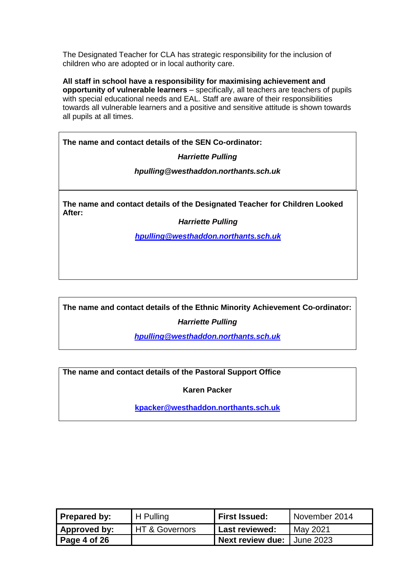The Designated Teacher for CLA has strategic responsibility for the inclusion of children who are adopted or in local authority care.

**All staff in school have a responsibility for maximising achievement and opportunity of vulnerable learners** – specifically, all teachers are teachers of pupils with special educational needs and EAL. Staff are aware of their responsibilities towards all vulnerable learners and a positive and sensitive attitude is shown towards all pupils at all times.

**The name and contact details of the SEN Co-ordinator:**

*Harriette Pulling*

*hpulling@westhaddon.northants.sch.uk*

**The name and contact details of the Designated Teacher for Children Looked After:**

*Harriette Pulling*

*[hpulling@westhaddon.northants.sch.uk](mailto:hpulling@westhaddon.northants.sch.uk)*

**The name and contact details of the Ethnic Minority Achievement Co-ordinator:**

*Harriette Pulling*

*[hpulling@westhaddon.northants.sch.uk](mailto:hpulling@westhaddon.northants.sch.uk)*

**The name and contact details of the Pastoral Support Office**

**Karen Packer**

**[kpacker@westhaddon.northants.sch.uk](mailto:kpacker@westhaddon.northants.sch.uk)**

| Prepared by: | H Pulling      | <b>First Issued:</b>         | November 2014 |
|--------------|----------------|------------------------------|---------------|
| Approved by: | HT & Governors | Last reviewed:               | May 2021      |
| Page 4 of 26 |                | Next review due: I June 2023 |               |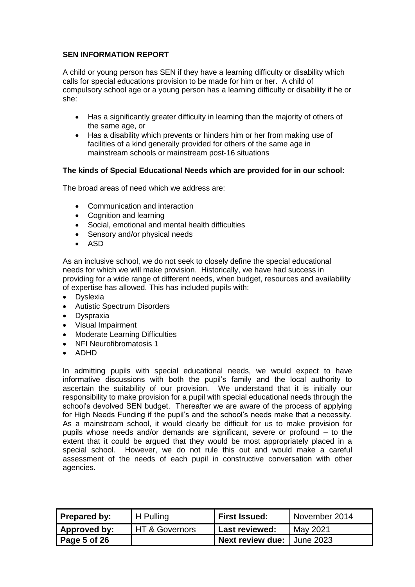A child or young person has SEN if they have a learning difficulty or disability which calls for special educations provision to be made for him or her. A child of compulsory school age or a young person has a learning difficulty or disability if he or she:

- Has a significantly greater difficulty in learning than the majority of others of the same age, or
- Has a disability which prevents or hinders him or her from making use of facilities of a kind generally provided for others of the same age in mainstream schools or mainstream post-16 situations

#### **The kinds of Special Educational Needs which are provided for in our school:**

The broad areas of need which we address are:

- Communication and interaction
- Cognition and learning
- Social, emotional and mental health difficulties
- Sensory and/or physical needs
- ASD

As an inclusive school, we do not seek to closely define the special educational needs for which we will make provision. Historically, we have had success in providing for a wide range of different needs, when budget, resources and availability of expertise has allowed. This has included pupils with:

- Dyslexia
- Autistic Spectrum Disorders
- Dyspraxia
- Visual Impairment
- Moderate Learning Difficulties
- NFI Neurofibromatosis 1
- ADHD

In admitting pupils with special educational needs, we would expect to have informative discussions with both the pupil's family and the local authority to ascertain the suitability of our provision. We understand that it is initially our responsibility to make provision for a pupil with special educational needs through the school's devolved SEN budget. Thereafter we are aware of the process of applying for High Needs Funding if the pupil's and the school's needs make that a necessity. As a mainstream school, it would clearly be difficult for us to make provision for pupils whose needs and/or demands are significant, severe or profound – to the extent that it could be argued that they would be most appropriately placed in a special school. However, we do not rule this out and would make a careful assessment of the needs of each pupil in constructive conversation with other agencies.

| Prepared by:        | H Pulling                 | First Issued:                       | November 2014 |
|---------------------|---------------------------|-------------------------------------|---------------|
| <b>Approved by:</b> | <b>HT &amp; Governors</b> | Last reviewed:                      | May 2021      |
| Page 5 of 26        |                           | <b>Next review due:   June 2023</b> |               |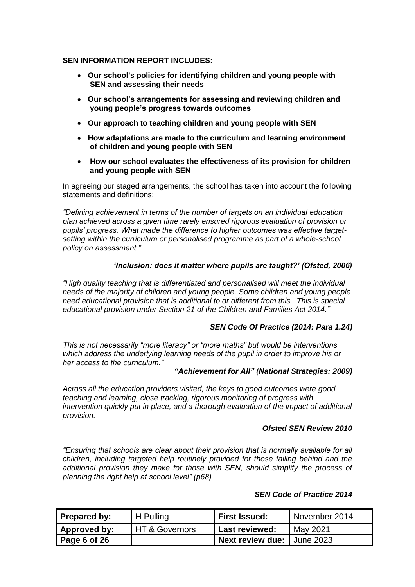#### **SEN INFORMATION REPORT INCLUDES:**

- **Our school's policies for identifying children and young people with SEN and assessing their needs**
- **Our school's arrangements for assessing and reviewing children and young people's progress towards outcomes**
- **Our approach to teaching children and young people with SEN**
- **How adaptations are made to the curriculum and learning environment of children and young people with SEN**
- **How our school evaluates the effectiveness of its provision for children and young people with SEN**

In agreeing our staged arrangements, the school has taken into account the following statements and definitions:

*"Defining achievement in terms of the number of targets on an individual education plan achieved across a given time rarely ensured rigorous evaluation of provision or pupils' progress. What made the difference to higher outcomes was effective targetsetting within the curriculum or personalised programme as part of a whole-school policy on assessment."*

#### *'Inclusion: does it matter where pupils are taught?' (Ofsted, 2006)*

*"High quality teaching that is differentiated and personalised will meet the individual needs of the majority of children and young people. Some children and young people need educational provision that is additional to or different from this. This is special educational provision under Section 21 of the Children and Families Act 2014."* 

#### *SEN Code Of Practice (2014: Para 1.24)*

*This is not necessarily "more literacy" or "more maths" but would be interventions which address the underlying learning needs of the pupil in order to improve his or her access to the curriculum."*

#### *"Achievement for All" (National Strategies: 2009)*

*Across all the education providers visited, the keys to good outcomes were good teaching and learning, close tracking, rigorous monitoring of progress with intervention quickly put in place, and a thorough evaluation of the impact of additional provision.*

#### *Ofsted SEN Review 2010*

*"Ensuring that schools are clear about their provision that is normally available for all children, including targeted help routinely provided for those falling behind and the additional provision they make for those with SEN, should simplify the process of planning the right help at school level" (p68)*

#### *SEN Code of Practice 2014*

| Prepared by: | H Pulling      | <b>First Issued:</b> | November 2014    |
|--------------|----------------|----------------------|------------------|
| Approved by: | HT & Governors | 'Last reviewed:      | May 2021         |
| Page 6 of 26 |                | Next review due: I   | <b>June 2023</b> |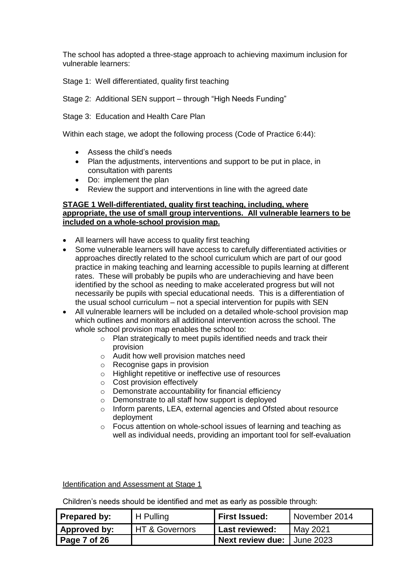The school has adopted a three-stage approach to achieving maximum inclusion for vulnerable learners:

Stage 1: Well differentiated, quality first teaching

Stage 2: Additional SEN support – through "High Needs Funding"

Stage 3: Education and Health Care Plan

Within each stage, we adopt the following process (Code of Practice 6:44):

- Assess the child's needs
- Plan the adjustments, interventions and support to be put in place, in consultation with parents
- Do: implement the plan
- Review the support and interventions in line with the agreed date

#### **STAGE 1 Well-differentiated, quality first teaching, including, where appropriate, the use of small group interventions. All vulnerable learners to be included on a whole-school provision map.**

- All learners will have access to quality first teaching
- Some vulnerable learners will have access to carefully differentiated activities or approaches directly related to the school curriculum which are part of our good practice in making teaching and learning accessible to pupils learning at different rates. These will probably be pupils who are underachieving and have been identified by the school as needing to make accelerated progress but will not necessarily be pupils with special educational needs. This is a differentiation of the usual school curriculum – not a special intervention for pupils with SEN
- All vulnerable learners will be included on a detailed whole-school provision map which outlines and monitors all additional intervention across the school. The whole school provision map enables the school to:
	- o Plan strategically to meet pupils identified needs and track their provision
	- o Audit how well provision matches need
	- o Recognise gaps in provision
	- o Highlight repetitive or ineffective use of resources
	- o Cost provision effectively
	- o Demonstrate accountability for financial efficiency
	- o Demonstrate to all staff how support is deployed
	- o Inform parents, LEA, external agencies and Ofsted about resource deployment
	- o Focus attention on whole-school issues of learning and teaching as well as individual needs, providing an important tool for self-evaluation

Identification and Assessment at Stage 1

Children's needs should be identified and met as early as possible through:

| Prepared by: | H Pulling      | <b>First Issued:</b>                | November 2014 |
|--------------|----------------|-------------------------------------|---------------|
| Approved by: | HT & Governors | <b>Last reviewed:</b>               | May 2021      |
| Page 7 of 26 |                | <b>Next review due:   June 2023</b> |               |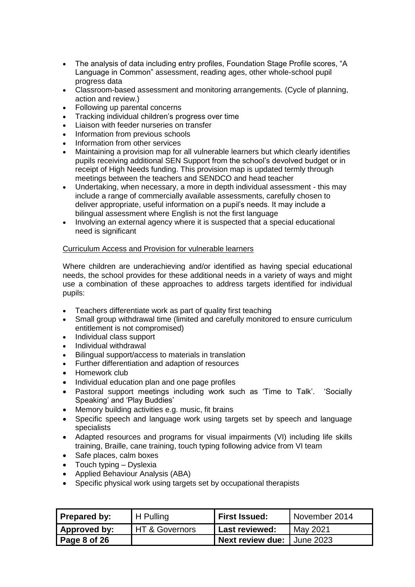- The analysis of data including entry profiles, Foundation Stage Profile scores, "A Language in Common" assessment, reading ages, other whole-school pupil progress data
- Classroom-based assessment and monitoring arrangements. (Cycle of planning, action and review.)
- Following up parental concerns
- Tracking individual children's progress over time
- Liaison with feeder nurseries on transfer
- Information from previous schools
- Information from other services
- Maintaining a provision map for all vulnerable learners but which clearly identifies pupils receiving additional SEN Support from the school's devolved budget or in receipt of High Needs funding. This provision map is updated termly through meetings between the teachers and SENDCO and head teacher
- Undertaking, when necessary, a more in depth individual assessment this may include a range of commercially available assessments, carefully chosen to deliver appropriate, useful information on a pupil's needs. It may include a bilingual assessment where English is not the first language
- Involving an external agency where it is suspected that a special educational need is significant

#### Curriculum Access and Provision for vulnerable learners

Where children are underachieving and/or identified as having special educational needs, the school provides for these additional needs in a variety of ways and might use a combination of these approaches to address targets identified for individual pupils:

- Teachers differentiate work as part of quality first teaching
- Small group withdrawal time (limited and carefully monitored to ensure curriculum entitlement is not compromised)
- Individual class support
- Individual withdrawal
- Bilingual support/access to materials in translation
- Further differentiation and adaption of resources
- Homework club
- Individual education plan and one page profiles
- Pastoral support meetings including work such as 'Time to Talk'. 'Socially Speaking' and 'Play Buddies'
- Memory building activities e.g. music, fit brains
- Specific speech and language work using targets set by speech and language specialists
- Adapted resources and programs for visual impairments (VI) including life skills training, Braille, cane training, touch typing following advice from VI team
- Safe places, calm boxes
- Touch typing Dyslexia
- Applied Behaviour Analysis (ABA)
- Specific physical work using targets set by occupational therapists

| Prepared by: | H Pulling      | First Issued:              | November 2014 |
|--------------|----------------|----------------------------|---------------|
| Approved by: | HT & Governors | Last reviewed:             | May 2021      |
| Page 8 of 26 |                | Next review due: Uune 2023 |               |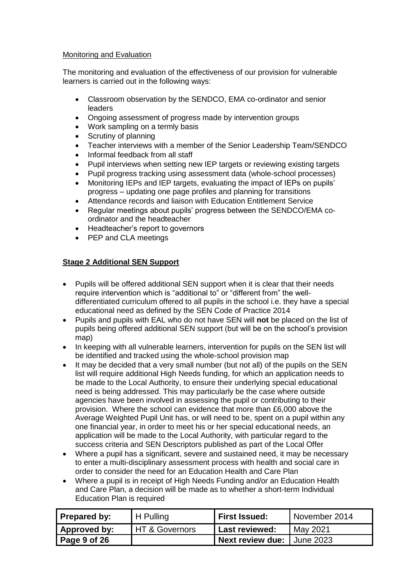#### Monitoring and Evaluation

The monitoring and evaluation of the effectiveness of our provision for vulnerable learners is carried out in the following ways:

- Classroom observation by the SENDCO, EMA co-ordinator and senior leaders
- Ongoing assessment of progress made by intervention groups
- Work sampling on a termly basis
- Scrutiny of planning
- Teacher interviews with a member of the Senior Leadership Team/SENDCO
- Informal feedback from all staff
- Pupil interviews when setting new IEP targets or reviewing existing targets
- Pupil progress tracking using assessment data (whole-school processes)
- Monitoring IEPs and IEP targets, evaluating the impact of IEPs on pupils' progress – updating one page profiles and planning for transitions
- Attendance records and liaison with Education Entitlement Service
- Regular meetings about pupils' progress between the SENDCO/EMA coordinator and the headteacher
- Headteacher's report to governors
- PEP and CLA meetings

#### **Stage 2 Additional SEN Support**

- Pupils will be offered additional SEN support when it is clear that their needs require intervention which is "additional to" or "different from" the welldifferentiated curriculum offered to all pupils in the school i.e. they have a special educational need as defined by the SEN Code of Practice 2014
- Pupils and pupils with EAL who do not have SEN will **not** be placed on the list of pupils being offered additional SEN support (but will be on the school's provision map)
- In keeping with all vulnerable learners, intervention for pupils on the SEN list will be identified and tracked using the whole-school provision map
- It may be decided that a very small number (but not all) of the pupils on the SEN list will require additional High Needs funding, for which an application needs to be made to the Local Authority, to ensure their underlying special educational need is being addressed. This may particularly be the case where outside agencies have been involved in assessing the pupil or contributing to their provision. Where the school can evidence that more than £6,000 above the Average Weighted Pupil Unit has, or will need to be, spent on a pupil within any one financial year, in order to meet his or her special educational needs, an application will be made to the Local Authority, with particular regard to the success criteria and SEN Descriptors published as part of the Local Offer
- Where a pupil has a significant, severe and sustained need, it may be necessary to enter a multi-disciplinary assessment process with health and social care in order to consider the need for an Education Health and Care Plan
- Where a pupil is in receipt of High Needs Funding and/or an Education Health and Care Plan, a decision will be made as to whether a short-term Individual Education Plan is required

| Prepared by: | H Pulling      | <b>First Issued:</b>       | November 2014 |
|--------------|----------------|----------------------------|---------------|
| Approved by: | HT & Governors | <b>Last reviewed:</b>      | May 2021      |
| Page 9 of 26 |                | Next review due: Uune 2023 |               |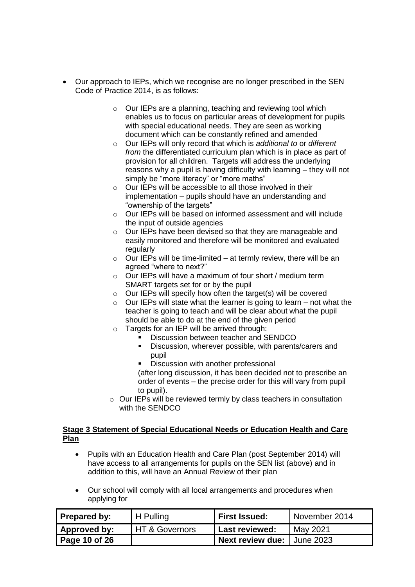- Our approach to IEPs, which we recognise are no longer prescribed in the SEN Code of Practice 2014, is as follows:
	- o Our IEPs are a planning, teaching and reviewing tool which enables us to focus on particular areas of development for pupils with special educational needs. They are seen as working document which can be constantly refined and amended
	- o Our IEPs will only record that which is *additional to* or *different from* the differentiated curriculum plan which is in place as part of provision for all children. Targets will address the underlying reasons why a pupil is having difficulty with learning – they will not simply be "more literacy" or "more maths"
	- $\circ$  Our IEPs will be accessible to all those involved in their implementation – pupils should have an understanding and "ownership of the targets"
	- o Our IEPs will be based on informed assessment and will include the input of outside agencies
	- o Our IEPs have been devised so that they are manageable and easily monitored and therefore will be monitored and evaluated regularly
	- $\circ$  Our IEPs will be time-limited at termly review, there will be an agreed "where to next?"
	- o Our IEPs will have a maximum of four short / medium term SMART targets set for or by the pupil
	- o Our IEPs will specify how often the target(s) will be covered
	- $\circ$  Our IEPs will state what the learner is going to learn not what the teacher is going to teach and will be clear about what the pupil should be able to do at the end of the given period
	- o Targets for an IEP will be arrived through:
		- Discussion between teacher and SENDCO
			- Discussion, wherever possible, with parents/carers and pupil
			- Discussion with another professional

(after long discussion, it has been decided not to prescribe an order of events – the precise order for this will vary from pupil to pupil).

o Our IEPs will be reviewed termly by class teachers in consultation with the SENDCO

#### **Stage 3 Statement of Special Educational Needs or Education Health and Care Plan**

- Pupils with an Education Health and Care Plan (post September 2014) will have access to all arrangements for pupils on the SEN list (above) and in addition to this, will have an Annual Review of their plan
- Our school will comply with all local arrangements and procedures when applying for

| Prepared by:        | H Pulling                 | <b>First Issued:</b>       | November 2014 |
|---------------------|---------------------------|----------------------------|---------------|
| <b>Approved by:</b> | <b>HT &amp; Governors</b> | <b>Last reviewed:</b>      | May 2021      |
| Page 10 of 26       |                           | Next review due: June 2023 |               |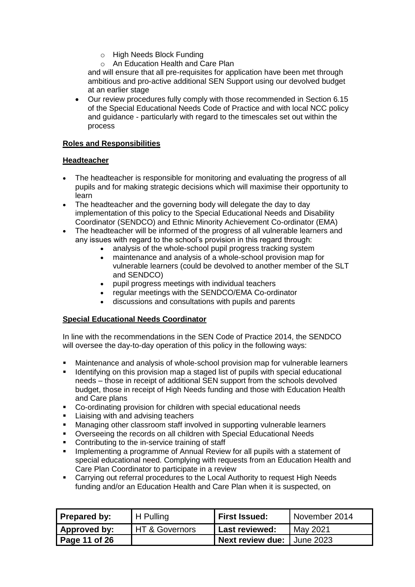- o High Needs Block Funding
- o An Education Health and Care Plan

and will ensure that all pre-requisites for application have been met through ambitious and pro-active additional SEN Support using our devolved budget at an earlier stage

• Our review procedures fully comply with those recommended in Section 6.15 of the Special Educational Needs Code of Practice and with local NCC policy and guidance - particularly with regard to the timescales set out within the process

#### **Roles and Responsibilities**

#### **Headteacher**

- The headteacher is responsible for monitoring and evaluating the progress of all pupils and for making strategic decisions which will maximise their opportunity to learn
- The headteacher and the governing body will delegate the day to day implementation of this policy to the Special Educational Needs and Disability Coordinator (SENDCO) and Ethnic Minority Achievement Co-ordinator (EMA)
- The headteacher will be informed of the progress of all vulnerable learners and any issues with regard to the school's provision in this regard through:
	- analysis of the whole-school pupil progress tracking system
	- maintenance and analysis of a whole-school provision map for vulnerable learners (could be devolved to another member of the SLT and SENDCO)
	- pupil progress meetings with individual teachers
	- regular meetings with the SENDCO/EMA Co-ordinator
	- discussions and consultations with pupils and parents

#### **Special Educational Needs Coordinator**

In line with the recommendations in the SEN Code of Practice 2014, the SENDCO will oversee the day-to-day operation of this policy in the following ways:

- Maintenance and analysis of whole-school provision map for vulnerable learners
- **E** Identifying on this provision map a staged list of pupils with special educational needs – those in receipt of additional SEN support from the schools devolved budget, those in receipt of High Needs funding and those with Education Health and Care plans
- Co-ordinating provision for children with special educational needs
- **EXEC** Liaising with and advising teachers
- **■** Managing other classroom staff involved in supporting vulnerable learners
- Overseeing the records on all children with Special Educational Needs
- Contributing to the in-service training of staff
- **•** Implementing a programme of Annual Review for all pupils with a statement of special educational need. Complying with requests from an Education Health and Care Plan Coordinator to participate in a review
- Carrying out referral procedures to the Local Authority to request High Needs funding and/or an Education Health and Care Plan when it is suspected, on

| <b>Prepared by:</b> | <b>H</b> Pulling | First Issued:                | November 2014 |
|---------------------|------------------|------------------------------|---------------|
| Approved by:        | HT & Governors   | Last reviewed:               | May 2021      |
| Page 11 of 26       |                  | I Next review due: June 2023 |               |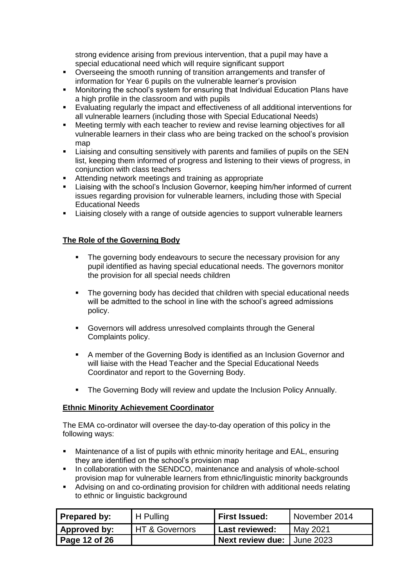strong evidence arising from previous intervention, that a pupil may have a special educational need which will require significant support

- Overseeing the smooth running of transition arrangements and transfer of information for Year 6 pupils on the vulnerable learner's provision
- Monitoring the school's system for ensuring that Individual Education Plans have a high profile in the classroom and with pupils
- Evaluating regularly the impact and effectiveness of all additional interventions for all vulnerable learners (including those with Special Educational Needs)
- Meeting termly with each teacher to review and revise learning objectives for all vulnerable learners in their class who are being tracked on the school's provision map
- Liaising and consulting sensitively with parents and families of pupils on the SEN list, keeping them informed of progress and listening to their views of progress, in conjunction with class teachers
- Attending network meetings and training as appropriate
- Liaising with the school's Inclusion Governor, keeping him/her informed of current issues regarding provision for vulnerable learners, including those with Special Educational Needs
- **EXECT** Liaising closely with a range of outside agencies to support vulnerable learners

#### **The Role of the Governing Body**

- **•** The governing body endeavours to secure the necessary provision for any pupil identified as having special educational needs. The governors monitor the provision for all special needs children
- The governing body has decided that children with special educational needs will be admitted to the school in line with the school's agreed admissions policy.
- Governors will address unresolved complaints through the General Complaints policy.
- A member of the Governing Body is identified as an Inclusion Governor and will liaise with the Head Teacher and the Special Educational Needs Coordinator and report to the Governing Body.
- The Governing Body will review and update the Inclusion Policy Annually.

#### **Ethnic Minority Achievement Coordinator**

The EMA co-ordinator will oversee the day-to-day operation of this policy in the following ways:

- Maintenance of a list of pupils with ethnic minority heritage and EAL, ensuring they are identified on the school's provision map
- In collaboration with the SENDCO, maintenance and analysis of whole-school provision map for vulnerable learners from ethnic/linguistic minority backgrounds
- Advising on and co-ordinating provision for children with additional needs relating to ethnic or linguistic background

| Prepared by:  | <sup>I</sup> H Pulling      | <b>First Issued:</b> | November 2014      |
|---------------|-----------------------------|----------------------|--------------------|
| Approved by:  | <b>I HT &amp; Governors</b> | Last reviewed:       | May 2021           |
| Page 12 of 26 |                             | Next review due:     | <b>I</b> June 2023 |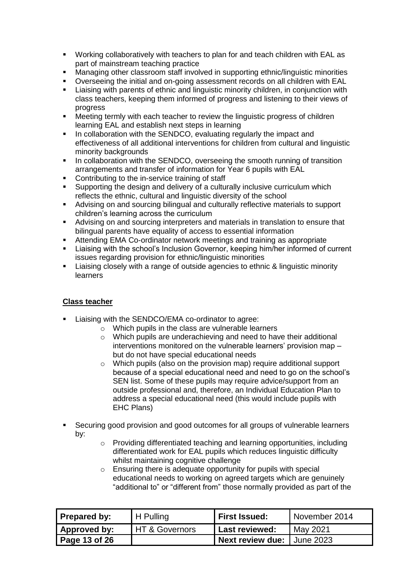- Working collaboratively with teachers to plan for and teach children with EAL as part of mainstream teaching practice
- Managing other classroom staff involved in supporting ethnic/linguistic minorities
- Overseeing the initial and on-going assessment records on all children with EAL
- Liaising with parents of ethnic and linguistic minority children, in conjunction with class teachers, keeping them informed of progress and listening to their views of progress
- Meeting termly with each teacher to review the linguistic progress of children learning EAL and establish next steps in learning
- **.** In collaboration with the SENDCO, evaluating regularly the impact and effectiveness of all additional interventions for children from cultural and linguistic minority backgrounds
- **■** In collaboration with the SENDCO, overseeing the smooth running of transition arrangements and transfer of information for Year 6 pupils with EAL
- Contributing to the in-service training of staff
- Supporting the design and delivery of a culturally inclusive curriculum which reflects the ethnic, cultural and linguistic diversity of the school
- Advising on and sourcing bilingual and culturally reflective materials to support children's learning across the curriculum
- Advising on and sourcing interpreters and materials in translation to ensure that bilingual parents have equality of access to essential information
- Attending EMA Co-ordinator network meetings and training as appropriate
- Liaising with the school's Inclusion Governor, keeping him/her informed of current issues regarding provision for ethnic/linguistic minorities
- Liaising closely with a range of outside agencies to ethnic & linguistic minority learners

#### **Class teacher**

- Liaising with the SENDCO/EMA co-ordinator to agree:
	- o Which pupils in the class are vulnerable learners
	- o Which pupils are underachieving and need to have their additional interventions monitored on the vulnerable learners' provision map – but do not have special educational needs
	- o Which pupils (also on the provision map) require additional support because of a special educational need and need to go on the school's SEN list. Some of these pupils may require advice/support from an outside professional and, therefore, an Individual Education Plan to address a special educational need (this would include pupils with EHC Plans)
- Securing good provision and good outcomes for all groups of vulnerable learners by:
	- o Providing differentiated teaching and learning opportunities, including differentiated work for EAL pupils which reduces linguistic difficulty whilst maintaining cognitive challenge
	- o Ensuring there is adequate opportunity for pupils with special educational needs to working on agreed targets which are genuinely "additional to" or "different from" those normally provided as part of the

| Prepared by:  | H Pulling                 | First Issued:              | November 2014 |
|---------------|---------------------------|----------------------------|---------------|
| Approved by:  | <b>HT &amp; Governors</b> | Last reviewed:             | May 2021      |
| Page 13 of 26 |                           | Next review due: June 2023 |               |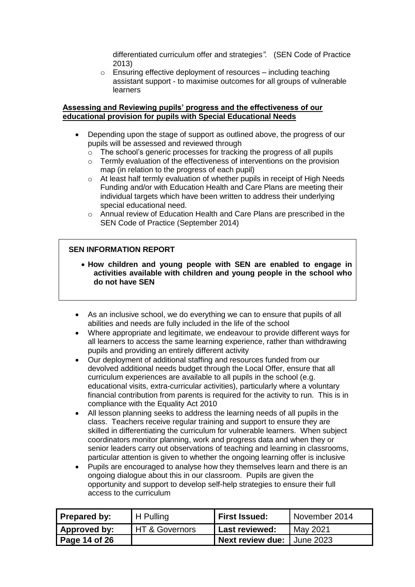differentiated curriculum offer and strategies*".* (SEN Code of Practice 2013)

o Ensuring effective deployment of resources – including teaching assistant support - to maximise outcomes for all groups of vulnerable learners

#### **Assessing and Reviewing pupils' progress and the effectiveness of our educational provision for pupils with Special Educational Needs**

- Depending upon the stage of support as outlined above, the progress of our pupils will be assessed and reviewed through
	- $\overline{\circ}$  The school's generic processes for tracking the progress of all pupils
	- o Termly evaluation of the effectiveness of interventions on the provision map (in relation to the progress of each pupil)
	- o At least half termly evaluation of whether pupils in receipt of High Needs Funding and/or with Education Health and Care Plans are meeting their individual targets which have been written to address their underlying special educational need.
	- o Annual review of Education Health and Care Plans are prescribed in the SEN Code of Practice (September 2014)

#### **SEN INFORMATION REPORT**

- **How children and young people with SEN are enabled to engage in activities available with children and young people in the school who do not have SEN**
- As an inclusive school, we do everything we can to ensure that pupils of all abilities and needs are fully included in the life of the school
- Where appropriate and legitimate, we endeavour to provide different ways for all learners to access the same learning experience, rather than withdrawing pupils and providing an entirely different activity
- Our deployment of additional staffing and resources funded from our devolved additional needs budget through the Local Offer, ensure that all curriculum experiences are available to all pupils in the school (e.g. educational visits, extra-curricular activities), particularly where a voluntary financial contribution from parents is required for the activity to run. This is in compliance with the Equality Act 2010
- All lesson planning seeks to address the learning needs of all pupils in the class. Teachers receive regular training and support to ensure they are skilled in differentiating the curriculum for vulnerable learners. When subject coordinators monitor planning, work and progress data and when they or senior leaders carry out observations of teaching and learning in classrooms, particular attention is given to whether the ongoing learning offer is inclusive
- Pupils are encouraged to analyse how they themselves learn and there is an ongoing dialogue about this in our classroom. Pupils are given the opportunity and support to develop self-help strategies to ensure their full access to the curriculum

| Prepared by:        | $H$ Pulling      | <b>First Issued:</b>       | November 2014 |
|---------------------|------------------|----------------------------|---------------|
| <b>Approved by:</b> | I HT & Governors | 'Last reviewed:            | May 2021      |
| Page 14 of 26       |                  | Next review due: June 2023 |               |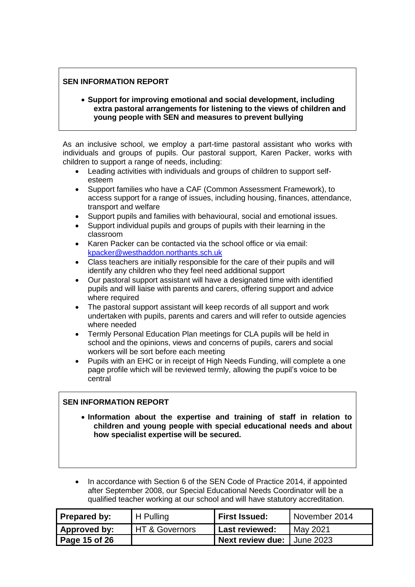• **Support for improving emotional and social development, including extra pastoral arrangements for listening to the views of children and young people with SEN and measures to prevent bullying**

As an inclusive school, we employ a part-time pastoral assistant who works with individuals and groups of pupils. Our pastoral support, Karen Packer, works with children to support a range of needs, including:

- Leading activities with individuals and groups of children to support selfesteem
- Support families who have a CAF (Common Assessment Framework), to access support for a range of issues, including housing, finances, attendance, transport and welfare
- Support pupils and families with behavioural, social and emotional issues.
- Support individual pupils and groups of pupils with their learning in the classroom
- Karen Packer can be contacted via the school office or via email: [kpacker@westhaddon.northants.sch.uk](mailto:kpacker@westhaddon.northants.sch.uk)
- Class teachers are initially responsible for the care of their pupils and will identify any children who they feel need additional support
- Our pastoral support assistant will have a designated time with identified pupils and will liaise with parents and carers, offering support and advice where required
- The pastoral support assistant will keep records of all support and work undertaken with pupils, parents and carers and will refer to outside agencies where needed
- Termly Personal Education Plan meetings for CLA pupils will be held in school and the opinions, views and concerns of pupils, carers and social workers will be sort before each meeting
- Pupils with an EHC or in receipt of High Needs Funding, will complete a one page profile which will be reviewed termly, allowing the pupil's voice to be central

#### **SEN INFORMATION REPORT**

- **Information about the expertise and training of staff in relation to children and young people with special educational needs and about how specialist expertise will be secured.**
- In accordance with Section 6 of the SEN Code of Practice 2014, if appointed after September 2008, our Special Educational Needs Coordinator will be a qualified teacher working at our school and will have statutory accreditation.

| Prepared by:  | $H$ Pulling      | <b>First Issued:</b>                | November 2014 |
|---------------|------------------|-------------------------------------|---------------|
| Approved by:  | I HT & Governors | Last reviewed:                      | May 2021      |
| Page 15 of 26 |                  | <b>Next review due:   June 2023</b> |               |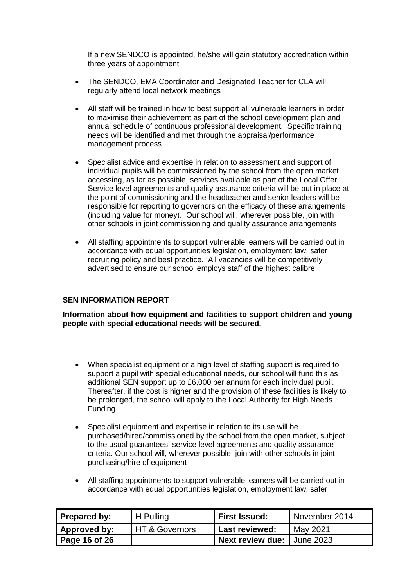If a new SENDCO is appointed, he/she will gain statutory accreditation within three years of appointment

- The SENDCO, EMA Coordinator and Designated Teacher for CLA will regularly attend local network meetings
- All staff will be trained in how to best support all vulnerable learners in order to maximise their achievement as part of the school development plan and annual schedule of continuous professional development. Specific training needs will be identified and met through the appraisal/performance management process
- Specialist advice and expertise in relation to assessment and support of individual pupils will be commissioned by the school from the open market, accessing, as far as possible, services available as part of the Local Offer. Service level agreements and quality assurance criteria will be put in place at the point of commissioning and the headteacher and senior leaders will be responsible for reporting to governors on the efficacy of these arrangements (including value for money). Our school will, wherever possible, join with other schools in joint commissioning and quality assurance arrangements
- All staffing appointments to support vulnerable learners will be carried out in accordance with equal opportunities legislation, employment law, safer recruiting policy and best practice. All vacancies will be competitively advertised to ensure our school employs staff of the highest calibre

#### **SEN INFORMATION REPORT**

**Information about how equipment and facilities to support children and young people with special educational needs will be secured.** 

- When specialist equipment or a high level of staffing support is required to support a pupil with special educational needs, our school will fund this as additional SEN support up to £6,000 per annum for each individual pupil. Thereafter, if the cost is higher and the provision of these facilities is likely to be prolonged, the school will apply to the Local Authority for High Needs Funding
- Specialist equipment and expertise in relation to its use will be purchased/hired/commissioned by the school from the open market, subject to the usual guarantees, service level agreements and quality assurance criteria. Our school will, wherever possible, join with other schools in joint purchasing/hire of equipment
- All staffing appointments to support vulnerable learners will be carried out in accordance with equal opportunities legislation, employment law, safer

| <b>Prepared by:</b> | H Pulling      | <b>First Issued:</b>       | November 2014 |
|---------------------|----------------|----------------------------|---------------|
| Approved by:        | HT & Governors | 'Last reviewed:            | May 2021      |
| Page 16 of 26       |                | Next review due: Uune 2023 |               |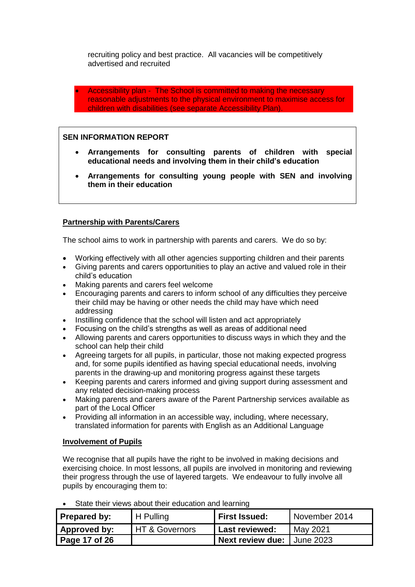recruiting policy and best practice. All vacancies will be competitively advertised and recruited

• Accessibility plan - The School is committed to making the necessary reasonable adjustments to the physical environment to maximise access for children with disabilities (see separate Accessibility Plan).

#### **SEN INFORMATION REPORT**

- **Arrangements for consulting parents of children with special educational needs and involving them in their child's education**
- **Arrangements for consulting young people with SEN and involving them in their education**

#### **Partnership with Parents/Carers**

The school aims to work in partnership with parents and carers. We do so by:

- Working effectively with all other agencies supporting children and their parents
- Giving parents and carers opportunities to play an active and valued role in their child's education
- Making parents and carers feel welcome
- Encouraging parents and carers to inform school of any difficulties they perceive their child may be having or other needs the child may have which need addressing
- Instilling confidence that the school will listen and act appropriately
- Focusing on the child's strengths as well as areas of additional need
- Allowing parents and carers opportunities to discuss ways in which they and the school can help their child
- Agreeing targets for all pupils, in particular, those not making expected progress and, for some pupils identified as having special educational needs, involving parents in the drawing-up and monitoring progress against these targets
- Keeping parents and carers informed and giving support during assessment and any related decision-making process
- Making parents and carers aware of the Parent Partnership services available as part of the Local Officer
- Providing all information in an accessible way, including, where necessary, translated information for parents with English as an Additional Language

#### **Involvement of Pupils**

We recognise that all pupils have the right to be involved in making decisions and exercising choice. In most lessons, all pupils are involved in monitoring and reviewing their progress through the use of layered targets. We endeavour to fully involve all pupils by encouraging them to:

| <b>Prepared by:</b> | H Pulling      | First Issued:              | November 2014 |
|---------------------|----------------|----------------------------|---------------|
| Approved by:        | HT & Governors | Last reviewed:             | May 2021      |
| Page 17 of 26       |                | Next review due: June 2023 |               |

State their views about their education and learning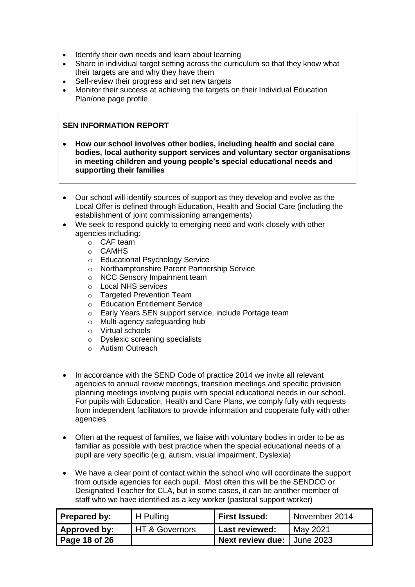- Identify their own needs and learn about learning
- Share in individual target setting across the curriculum so that they know what their targets are and why they have them
- Self-review their progress and set new targets<br>• Monitor their success at achieving the targets of
- Monitor their success at achieving the targets on their Individual Education Plan/one page profile

- **How our school involves other bodies, including health and social care bodies, local authority support services and voluntary sector organisations in meeting children and young people's special educational needs and supporting their families**
- Our school will identify sources of support as they develop and evolve as the Local Offer is defined through Education, Health and Social Care (including the establishment of joint commissioning arrangements)
- We seek to respond quickly to emerging need and work closely with other agencies including:
	- o CAF team
	- o CAMHS
	- o Educational Psychology Service
	- o Northamptonshire Parent Partnership Service
	- o NCC Sensory Impairment team
	- o Local NHS services
	- o Targeted Prevention Team
	- o Education Entitlement Service
	- o Early Years SEN support service, include Portage team
	- o Multi-agency safeguarding hub
	- o Virtual schools
	- o Dyslexic screening specialists
	- o Autism Outreach
- In accordance with the SEND Code of practice 2014 we invite all relevant agencies to annual review meetings, transition meetings and specific provision planning meetings involving pupils with special educational needs in our school. For pupils with Education, Health and Care Plans, we comply fully with requests from independent facilitators to provide information and cooperate fully with other agencies
- Often at the request of families, we liaise with voluntary bodies in order to be as familiar as possible with best practice when the special educational needs of a pupil are very specific (e.g. autism, visual impairment, Dyslexia)
- We have a clear point of contact within the school who will coordinate the support from outside agencies for each pupil. Most often this will be the SENDCO or Designated Teacher for CLA, but in some cases, it can be another member of staff who we have identified as a key worker (pastoral support worker)

| Prepared by:  | H Pulling                 | <b>First Issued:</b>       | November 2014 |
|---------------|---------------------------|----------------------------|---------------|
| Approved by:  | <b>HT &amp; Governors</b> | <b>Last reviewed:</b>      | May 2021      |
| Page 18 of 26 |                           | Next review due: June 2023 |               |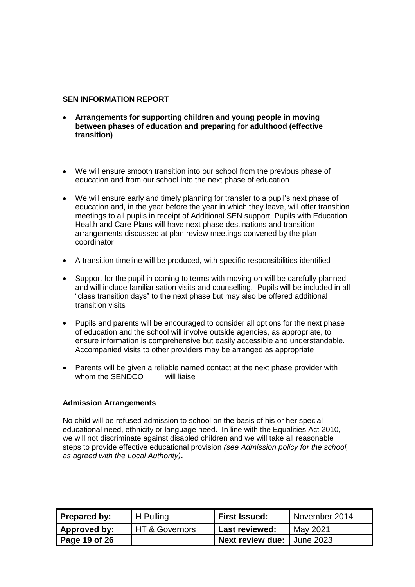- **Arrangements for supporting children and young people in moving between phases of education and preparing for adulthood (effective transition)**
- We will ensure smooth transition into our school from the previous phase of education and from our school into the next phase of education
- We will ensure early and timely planning for transfer to a pupil's next phase of education and, in the year before the year in which they leave, will offer transition meetings to all pupils in receipt of Additional SEN support. Pupils with Education Health and Care Plans will have next phase destinations and transition arrangements discussed at plan review meetings convened by the plan coordinator
- A transition timeline will be produced, with specific responsibilities identified
- Support for the pupil in coming to terms with moving on will be carefully planned and will include familiarisation visits and counselling. Pupils will be included in all "class transition days" to the next phase but may also be offered additional transition visits
- Pupils and parents will be encouraged to consider all options for the next phase of education and the school will involve outside agencies, as appropriate, to ensure information is comprehensive but easily accessible and understandable. Accompanied visits to other providers may be arranged as appropriate
- Parents will be given a reliable named contact at the next phase provider with whom the SENDCO will liaise

#### **Admission Arrangements**

No child will be refused admission to school on the basis of his or her special educational need, ethnicity or language need. In line with the Equalities Act 2010, we will not discriminate against disabled children and we will take all reasonable steps to provide effective educational provision *(see Admission policy for the school, as agreed with the Local Authority)***.**

| Prepared by:  | H Pulling      | <b>First Issued:</b>       | November 2014 |
|---------------|----------------|----------------------------|---------------|
| Approved by:  | HT & Governors | <b>Last reviewed:</b>      | May 2021      |
| Page 19 of 26 |                | Next review due: Uune 2023 |               |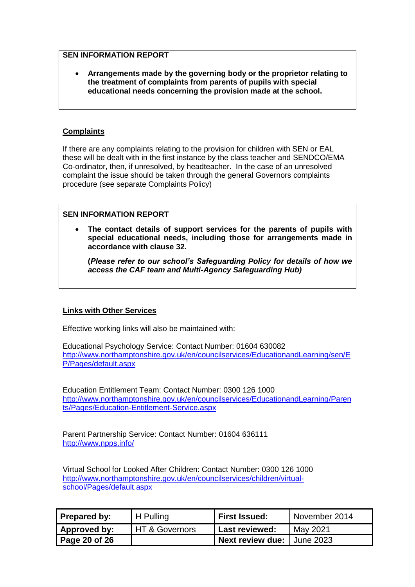• **Arrangements made by the governing body or the proprietor relating to the treatment of complaints from parents of pupils with special educational needs concerning the provision made at the school.** 

#### **Complaints**

If there are any complaints relating to the provision for children with SEN or EAL these will be dealt with in the first instance by the class teacher and SENDCO/EMA Co-ordinator, then, if unresolved, by headteacher. In the case of an unresolved complaint the issue should be taken through the general Governors complaints procedure (see separate Complaints Policy)

#### **SEN INFORMATION REPORT**

• **The contact details of support services for the parents of pupils with special educational needs, including those for arrangements made in accordance with clause 32.** 

**(***Please refer to our school's Safeguarding Policy for details of how we access the CAF team and Multi-Agency Safeguarding Hub)*

#### **Links with Other Services**

Effective working links will also be maintained with:

Educational Psychology Service: Contact Number: 01604 630082 [http://www.northamptonshire.gov.uk/en/councilservices/EducationandLearning/sen/E](http://www.northamptonshire.gov.uk/en/councilservices/EducationandLearning/sen/EP/Pages/default.aspx) [P/Pages/default.aspx](http://www.northamptonshire.gov.uk/en/councilservices/EducationandLearning/sen/EP/Pages/default.aspx)

Education Entitlement Team: Contact Number: 0300 126 1000 [http://www.northamptonshire.gov.uk/en/councilservices/EducationandLearning/Paren](http://www.northamptonshire.gov.uk/en/councilservices/EducationandLearning/Parents/Pages/Education-Entitlement-Service.aspx) [ts/Pages/Education-Entitlement-Service.aspx](http://www.northamptonshire.gov.uk/en/councilservices/EducationandLearning/Parents/Pages/Education-Entitlement-Service.aspx)

Parent Partnership Service: Contact Number: 01604 636111 <http://www.npps.info/>

Virtual School for Looked After Children: Contact Number: 0300 126 1000 [http://www.northamptonshire.gov.uk/en/councilservices/children/virtual](http://www.northamptonshire.gov.uk/en/councilservices/children/virtual-school/Pages/default.aspx)[school/Pages/default.aspx](http://www.northamptonshire.gov.uk/en/councilservices/children/virtual-school/Pages/default.aspx)

| Prepared by:  | H Pulling        | <b>First Issued:</b>                | November 2014 |
|---------------|------------------|-------------------------------------|---------------|
| Approved by:  | I HT & Governors | <b>Last reviewed:</b>               | May 2021      |
| Page 20 of 26 |                  | <b>Next review due:   June 2023</b> |               |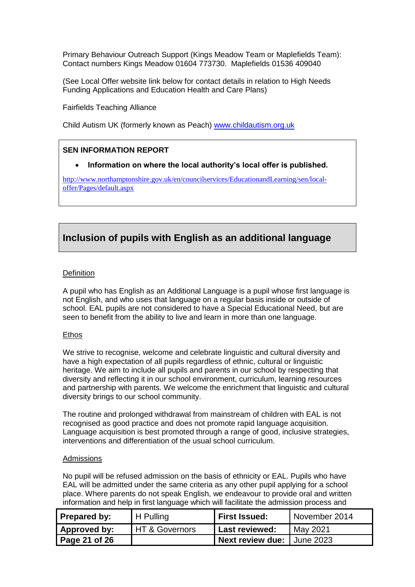Primary Behaviour Outreach Support (Kings Meadow Team or Maplefields Team): Contact numbers Kings Meadow 01604 773730. Maplefields 01536 409040

(See Local Offer website link below for contact details in relation to High Needs Funding Applications and Education Health and Care Plans)

Fairfields Teaching Alliance

Child Autism UK (formerly known as Peach) [www.childautism.org.uk](http://www.childautism.org.uk/)

#### **SEN INFORMATION REPORT**

#### • **Information on where the local authority's local offer is published.**

[http://www.northamptonshire.gov.uk/en/councilservices/EducationandLearning/sen/local](http://www.northamptonshire.gov.uk/en/councilservices/EducationandLearning/sen/local-offer/Pages/default.aspx)[offer/Pages/default.aspx](http://www.northamptonshire.gov.uk/en/councilservices/EducationandLearning/sen/local-offer/Pages/default.aspx)

## **Inclusion of pupils with English as an additional language**

#### **Definition**

A pupil who has English as an Additional Language is a pupil whose first language is not English, and who uses that language on a regular basis inside or outside of school. EAL pupils are not considered to have a Special Educational Need, but are seen to benefit from the ability to live and learn in more than one language.

#### Ethos

We strive to recognise, welcome and celebrate linguistic and cultural diversity and have a high expectation of all pupils regardless of ethnic, cultural or linguistic heritage. We aim to include all pupils and parents in our school by respecting that diversity and reflecting it in our school environment, curriculum, learning resources and partnership with parents. We welcome the enrichment that linguistic and cultural diversity brings to our school community.

The routine and prolonged withdrawal from mainstream of children with EAL is not recognised as good practice and does not promote rapid language acquisition. Language acquisition is best promoted through a range of good, inclusive strategies, interventions and differentiation of the usual school curriculum.

#### Admissions

No pupil will be refused admission on the basis of ethnicity or EAL. Pupils who have EAL will be admitted under the same criteria as any other pupil applying for a school place. Where parents do not speak English, we endeavour to provide oral and written information and help in first language which will facilitate the admission process and

| Prepared by:  | H Pulling      | <b>First Issued:</b>                | November 2014 |
|---------------|----------------|-------------------------------------|---------------|
| Approved by:  | HT & Governors | <b>Last reviewed:</b>               | May 2021      |
| Page 21 of 26 |                | <b>Next review due:   June 2023</b> |               |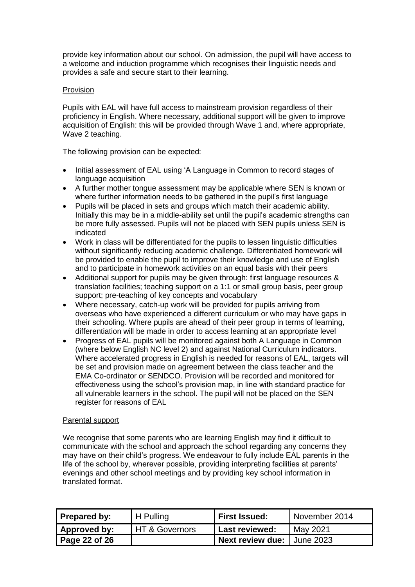provide key information about our school. On admission, the pupil will have access to a welcome and induction programme which recognises their linguistic needs and provides a safe and secure start to their learning.

#### **Provision**

Pupils with EAL will have full access to mainstream provision regardless of their proficiency in English. Where necessary, additional support will be given to improve acquisition of English: this will be provided through Wave 1 and, where appropriate, Wave 2 teaching.

The following provision can be expected:

- Initial assessment of EAL using 'A Language in Common to record stages of language acquisition
- A further mother tongue assessment may be applicable where SEN is known or where further information needs to be gathered in the pupil's first language
- Pupils will be placed in sets and groups which match their academic ability. Initially this may be in a middle-ability set until the pupil's academic strengths can be more fully assessed. Pupils will not be placed with SEN pupils unless SEN is indicated
- Work in class will be differentiated for the pupils to lessen linguistic difficulties without significantly reducing academic challenge. Differentiated homework will be provided to enable the pupil to improve their knowledge and use of English and to participate in homework activities on an equal basis with their peers
- Additional support for pupils may be given through: first language resources & translation facilities; teaching support on a 1:1 or small group basis, peer group support; pre-teaching of key concepts and vocabulary
- Where necessary, catch-up work will be provided for pupils arriving from overseas who have experienced a different curriculum or who may have gaps in their schooling. Where pupils are ahead of their peer group in terms of learning, differentiation will be made in order to access learning at an appropriate level
- Progress of EAL pupils will be monitored against both A Language in Common (where below English NC level 2) and against National Curriculum indicators. Where accelerated progress in English is needed for reasons of EAL, targets will be set and provision made on agreement between the class teacher and the EMA Co-ordinator or SENDCO. Provision will be recorded and monitored for effectiveness using the school's provision map, in line with standard practice for all vulnerable learners in the school. The pupil will not be placed on the SEN register for reasons of EAL

#### Parental support

We recognise that some parents who are learning English may find it difficult to communicate with the school and approach the school regarding any concerns they may have on their child's progress. We endeavour to fully include EAL parents in the life of the school by, wherever possible, providing interpreting facilities at parents' evenings and other school meetings and by providing key school information in translated format.

| Prepared by:  | H Pulling        | <b>First Issued:</b>                | November 2014 |
|---------------|------------------|-------------------------------------|---------------|
| Approved by:  | I HT & Governors | <b>Last reviewed:</b>               | May 2021      |
| Page 22 of 26 |                  | <b>Next review due:   June 2023</b> |               |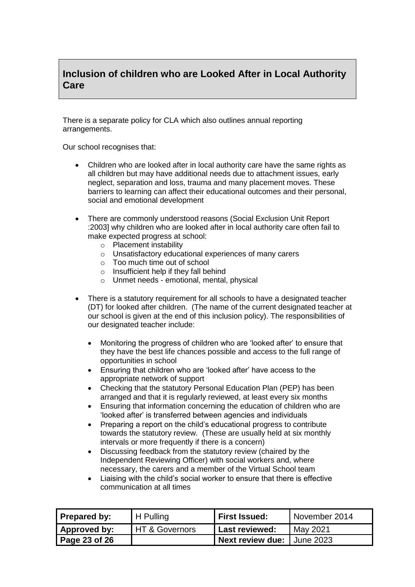## **Inclusion of children who are Looked After in Local Authority Care**

There is a separate policy for CLA which also outlines annual reporting arrangements.

Our school recognises that:

- Children who are looked after in local authority care have the same rights as all children but may have additional needs due to attachment issues, early neglect, separation and loss, trauma and many placement moves. These barriers to learning can affect their educational outcomes and their personal, social and emotional development
- There are commonly understood reasons (Social Exclusion Unit Report :2003] why children who are looked after in local authority care often fail to make expected progress at school:
	- o Placement instability
	- o Unsatisfactory educational experiences of many carers
	- o Too much time out of school
	- o Insufficient help if they fall behind
	- o Unmet needs emotional, mental, physical
- There is a statutory requirement for all schools to have a designated teacher (DT) for looked after children. (The name of the current designated teacher at our school is given at the end of this inclusion policy). The responsibilities of our designated teacher include:
	- Monitoring the progress of children who are 'looked after' to ensure that they have the best life chances possible and access to the full range of opportunities in school
	- Ensuring that children who are 'looked after' have access to the appropriate network of support
	- Checking that the statutory Personal Education Plan (PEP) has been arranged and that it is regularly reviewed, at least every six months
	- Ensuring that information concerning the education of children who are 'looked after' is transferred between agencies and individuals
	- Preparing a report on the child's educational progress to contribute towards the statutory review. (These are usually held at six monthly intervals or more frequently if there is a concern)
	- Discussing feedback from the statutory review (chaired by the Independent Reviewing Officer) with social workers and, where necessary, the carers and a member of the Virtual School team
	- Liaising with the child's social worker to ensure that there is effective communication at all times

| Prepared by:  | H Pulling                 | <b>First Issued:</b>       | November 2014 |
|---------------|---------------------------|----------------------------|---------------|
| Approved by:  | <b>HT &amp; Governors</b> | Last reviewed:             | May 2021      |
| Page 23 of 26 |                           | Next review due: June 2023 |               |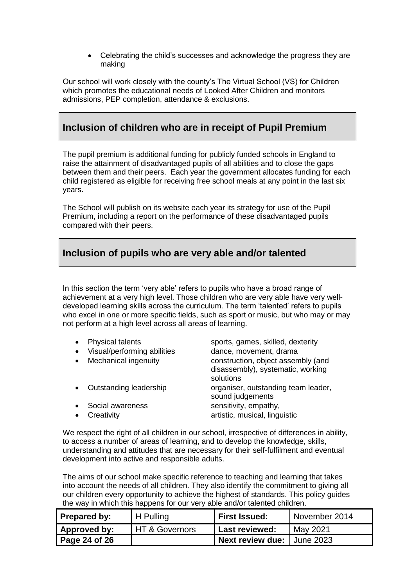• Celebrating the child's successes and acknowledge the progress they are making

Our school will work closely with the county's The Virtual School (VS) for Children which promotes the educational needs of Looked After Children and monitors admissions, PEP completion, attendance & exclusions.

## **Inclusion of children who are in receipt of Pupil Premium**

The pupil premium is additional funding for publicly funded schools in England to raise the attainment of disadvantaged pupils of all abilities and to close the gaps between them and their peers. Each year the government allocates funding for each child registered as eligible for receiving free school meals at any point in the last six years.

The School will publish on its website each year its strategy for use of the Pupil Premium, including a report on the performance of these disadvantaged pupils compared with their peers.

## **Inclusion of pupils who are very able and/or talented**

In this section the term 'very able' refers to pupils who have a broad range of achievement at a very high level. Those children who are very able have very welldeveloped learning skills across the curriculum. The term 'talented' refers to pupils who excel in one or more specific fields, such as sport or music, but who may or may not perform at a high level across all areas of learning.

| Visual/performing abilities<br>dance, movement, drama<br>$\bullet$<br>Mechanical ingenuity<br>construction, object assembly (and<br>disassembly), systematic, working<br>solutions<br>Outstanding leadership<br>sound judgements<br>sensitivity, empathy,<br>Social awareness<br>artistic, musical, linguistic<br>Creativity | $\bullet$ | <b>Physical talents</b> | sports, games, skilled, dexterity   |
|------------------------------------------------------------------------------------------------------------------------------------------------------------------------------------------------------------------------------------------------------------------------------------------------------------------------------|-----------|-------------------------|-------------------------------------|
|                                                                                                                                                                                                                                                                                                                              |           |                         |                                     |
|                                                                                                                                                                                                                                                                                                                              |           |                         |                                     |
|                                                                                                                                                                                                                                                                                                                              |           |                         | organiser, outstanding team leader, |
|                                                                                                                                                                                                                                                                                                                              |           |                         |                                     |
|                                                                                                                                                                                                                                                                                                                              |           |                         |                                     |

We respect the right of all children in our school, irrespective of differences in ability, to access a number of areas of learning, and to develop the knowledge, skills, understanding and attitudes that are necessary for their self-fulfilment and eventual development into active and responsible adults.

The aims of our school make specific reference to teaching and learning that takes into account the needs of all children. They also identify the commitment to giving all our children every opportunity to achieve the highest of standards. This policy guides the way in which this happens for our very able and/or talented children.

| <b>Prepared by:</b> | H Pulling      | <b>First Issued:</b>       | November 2014 |
|---------------------|----------------|----------------------------|---------------|
| Approved by:        | HT & Governors | Last reviewed:             | May 2021      |
| Page 24 of 26       |                | Next review due: Uune 2023 |               |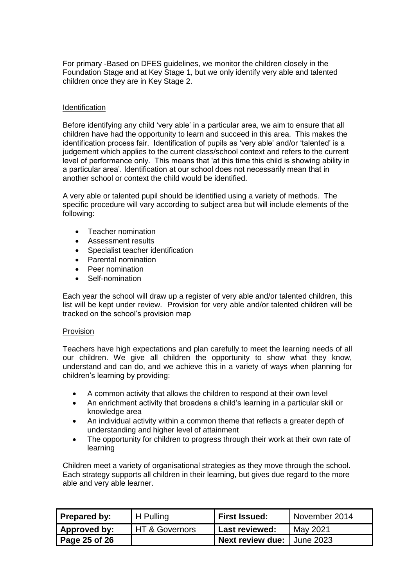For primary -Based on DFES guidelines, we monitor the children closely in the Foundation Stage and at Key Stage 1, but we only identify very able and talented children once they are in Key Stage 2.

#### **Identification**

Before identifying any child 'very able' in a particular area, we aim to ensure that all children have had the opportunity to learn and succeed in this area. This makes the identification process fair. Identification of pupils as 'very able' and/or 'talented' is a judgement which applies to the current class/school context and refers to the current level of performance only. This means that 'at this time this child is showing ability in a particular area'. Identification at our school does not necessarily mean that in another school or context the child would be identified.

A very able or talented pupil should be identified using a variety of methods. The specific procedure will vary according to subject area but will include elements of the following:

- Teacher nomination
- Assessment results
- Specialist teacher identification
- Parental nomination
- Peer nomination
- Self-nomination

Each year the school will draw up a register of very able and/or talented children, this list will be kept under review. Provision for very able and/or talented children will be tracked on the school's provision map

#### Provision

Teachers have high expectations and plan carefully to meet the learning needs of all our children. We give all children the opportunity to show what they know, understand and can do, and we achieve this in a variety of ways when planning for children's learning by providing:

- A common activity that allows the children to respond at their own level
- An enrichment activity that broadens a child's learning in a particular skill or knowledge area
- An individual activity within a common theme that reflects a greater depth of understanding and higher level of attainment
- The opportunity for children to progress through their work at their own rate of learning

Children meet a variety of organisational strategies as they move through the school. Each strategy supports all children in their learning, but gives due regard to the more able and very able learner.

| Prepared by:  | H Pulling        | <b>First Issued:</b>         | November 2014 |
|---------------|------------------|------------------------------|---------------|
| Approved by:  | I HT & Governors | Last reviewed:               | May 2021      |
| Page 25 of 26 |                  | Next review due: I June 2023 |               |